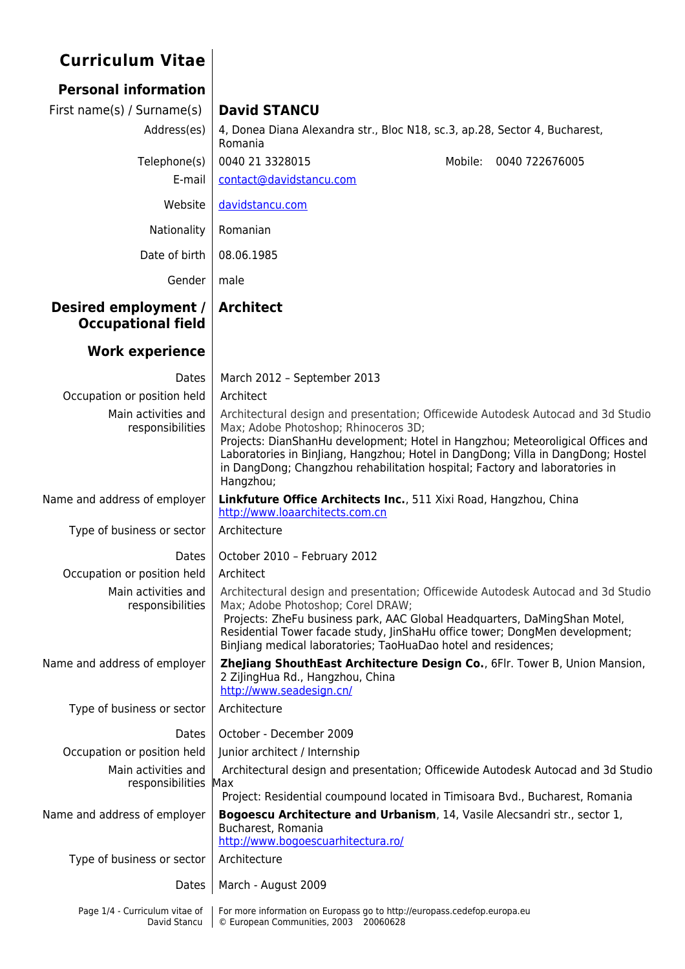## **Curriculum Vitae**

| <b>Personal information</b>                       |                                                                                                                                                                                                                                                                                                                                                                                             |  |  |  |  |  |  |  |  |
|---------------------------------------------------|---------------------------------------------------------------------------------------------------------------------------------------------------------------------------------------------------------------------------------------------------------------------------------------------------------------------------------------------------------------------------------------------|--|--|--|--|--|--|--|--|
| First name(s) / Surname(s)                        | <b>David STANCU</b>                                                                                                                                                                                                                                                                                                                                                                         |  |  |  |  |  |  |  |  |
| Address(es)                                       | 4, Donea Diana Alexandra str., Bloc N18, sc.3, ap.28, Sector 4, Bucharest,<br>Romania                                                                                                                                                                                                                                                                                                       |  |  |  |  |  |  |  |  |
| Telephone(s)                                      | 0040 21 3328015<br>Mobile:<br>0040 722676005                                                                                                                                                                                                                                                                                                                                                |  |  |  |  |  |  |  |  |
| E-mail                                            | contact@davidstancu.com                                                                                                                                                                                                                                                                                                                                                                     |  |  |  |  |  |  |  |  |
| Website                                           | davidstancu.com                                                                                                                                                                                                                                                                                                                                                                             |  |  |  |  |  |  |  |  |
| Nationality                                       | Romanian                                                                                                                                                                                                                                                                                                                                                                                    |  |  |  |  |  |  |  |  |
| Date of birth                                     | 08.06.1985                                                                                                                                                                                                                                                                                                                                                                                  |  |  |  |  |  |  |  |  |
| Gender                                            | male                                                                                                                                                                                                                                                                                                                                                                                        |  |  |  |  |  |  |  |  |
| Desired employment /<br><b>Occupational field</b> | <b>Architect</b>                                                                                                                                                                                                                                                                                                                                                                            |  |  |  |  |  |  |  |  |
| <b>Work experience</b>                            |                                                                                                                                                                                                                                                                                                                                                                                             |  |  |  |  |  |  |  |  |
| Dates                                             | March 2012 - September 2013                                                                                                                                                                                                                                                                                                                                                                 |  |  |  |  |  |  |  |  |
| Occupation or position held                       | Architect                                                                                                                                                                                                                                                                                                                                                                                   |  |  |  |  |  |  |  |  |
| Main activities and<br>responsibilities           | Architectural design and presentation; Officewide Autodesk Autocad and 3d Studio<br>Max; Adobe Photoshop; Rhinoceros 3D;<br>Projects: DianShanHu development; Hotel in Hangzhou; Meteoroligical Offices and<br>Laboratories in BinJiang, Hangzhou; Hotel in DangDong; Villa in DangDong; Hostel<br>in DangDong; Changzhou rehabilitation hospital; Factory and laboratories in<br>Hangzhou; |  |  |  |  |  |  |  |  |
| Name and address of employer                      | Linkfuture Office Architects Inc., 511 Xixi Road, Hangzhou, China<br>http://www.loaarchitects.com.cn                                                                                                                                                                                                                                                                                        |  |  |  |  |  |  |  |  |
| Type of business or sector                        | Architecture                                                                                                                                                                                                                                                                                                                                                                                |  |  |  |  |  |  |  |  |
| <b>Dates</b>                                      | October 2010 - February 2012                                                                                                                                                                                                                                                                                                                                                                |  |  |  |  |  |  |  |  |
| Occupation or position held                       | Architect                                                                                                                                                                                                                                                                                                                                                                                   |  |  |  |  |  |  |  |  |
| Main activities and<br>responsibilities           | Architectural design and presentation; Officewide Autodesk Autocad and 3d Studio<br>Max; Adobe Photoshop; Corel DRAW;<br>Projects: ZheFu business park, AAC Global Headquarters, DaMingShan Motel,<br>Residential Tower facade study, JinShaHu office tower; DongMen development;<br>Binjiang medical laboratories; TaoHuaDao hotel and residences;                                         |  |  |  |  |  |  |  |  |
| Name and address of employer                      | Zhejiang ShouthEast Architecture Design Co., 6Flr. Tower B, Union Mansion,<br>2 ZijingHua Rd., Hangzhou, China<br>http://www.seadesign.cn/                                                                                                                                                                                                                                                  |  |  |  |  |  |  |  |  |
| Type of business or sector                        | Architecture                                                                                                                                                                                                                                                                                                                                                                                |  |  |  |  |  |  |  |  |
| Dates                                             | October - December 2009                                                                                                                                                                                                                                                                                                                                                                     |  |  |  |  |  |  |  |  |
| Occupation or position held                       | Junior architect / Internship                                                                                                                                                                                                                                                                                                                                                               |  |  |  |  |  |  |  |  |
| Main activities and<br>responsibilities           | Architectural design and presentation; Officewide Autodesk Autocad and 3d Studio<br>Max                                                                                                                                                                                                                                                                                                     |  |  |  |  |  |  |  |  |
|                                                   | Project: Residential coumpound located in Timisoara Bvd., Bucharest, Romania                                                                                                                                                                                                                                                                                                                |  |  |  |  |  |  |  |  |
| Name and address of employer                      | Bogoescu Architecture and Urbanism, 14, Vasile Alecsandri str., sector 1,<br>Bucharest, Romania<br>http://www.bogoescuarhitectura.ro/                                                                                                                                                                                                                                                       |  |  |  |  |  |  |  |  |
| Type of business or sector                        | Architecture                                                                                                                                                                                                                                                                                                                                                                                |  |  |  |  |  |  |  |  |
| Dates                                             | March - August 2009                                                                                                                                                                                                                                                                                                                                                                         |  |  |  |  |  |  |  |  |
| Page 1/4 - Curriculum vitae of<br>David Stancu    | For more information on Europass go to http://europass.cedefop.europa.eu<br>© European Communities, 2003 20060628                                                                                                                                                                                                                                                                           |  |  |  |  |  |  |  |  |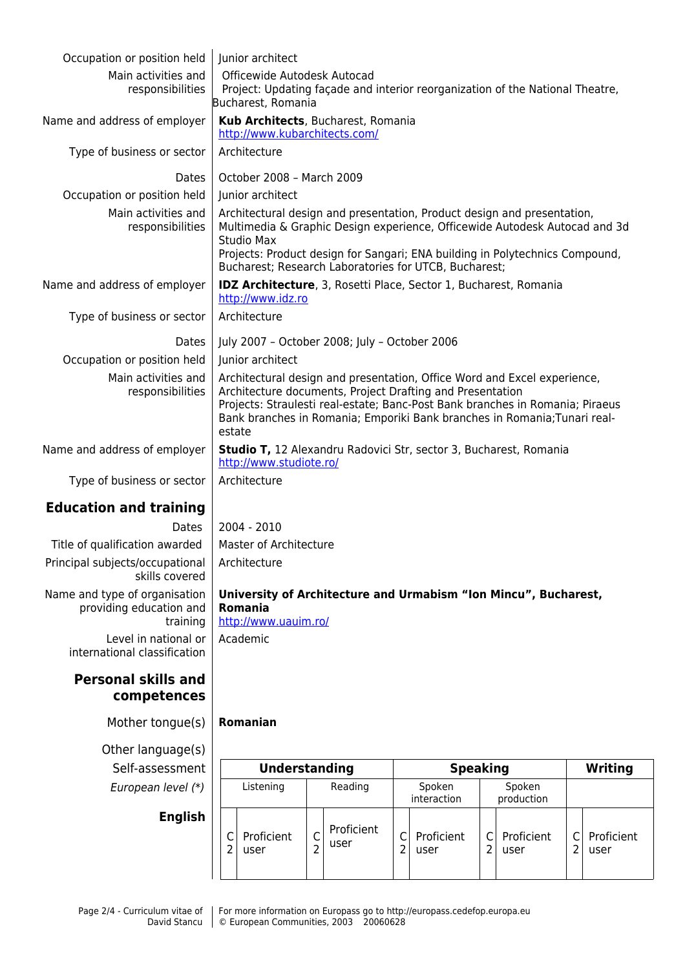| Occupation or position held<br>Main activities and<br>responsibilities<br>Name and address of employer<br>Type of business or sector | Junior architect                                                                                                                                                                                                                                                                                              |                                                                                                                                                                                                                                                                                                              |                                |                                                                 |                                                                                                                                    |                                   |                     |                                  |                     |                    |
|--------------------------------------------------------------------------------------------------------------------------------------|---------------------------------------------------------------------------------------------------------------------------------------------------------------------------------------------------------------------------------------------------------------------------------------------------------------|--------------------------------------------------------------------------------------------------------------------------------------------------------------------------------------------------------------------------------------------------------------------------------------------------------------|--------------------------------|-----------------------------------------------------------------|------------------------------------------------------------------------------------------------------------------------------------|-----------------------------------|---------------------|----------------------------------|---------------------|--------------------|
|                                                                                                                                      |                                                                                                                                                                                                                                                                                                               |                                                                                                                                                                                                                                                                                                              |                                |                                                                 |                                                                                                                                    |                                   |                     |                                  |                     |                    |
|                                                                                                                                      |                                                                                                                                                                                                                                                                                                               |                                                                                                                                                                                                                                                                                                              |                                |                                                                 | Officewide Autodesk Autocad<br>Project: Updating façade and interior reorganization of the National Theatre,<br>Bucharest, Romania |                                   |                     |                                  |                     |                    |
|                                                                                                                                      |                                                                                                                                                                                                                                                                                                               | Kub Architects, Bucharest, Romania<br>http://www.kubarchitects.com/                                                                                                                                                                                                                                          |                                |                                                                 |                                                                                                                                    |                                   |                     |                                  |                     |                    |
|                                                                                                                                      |                                                                                                                                                                                                                                                                                                               | Architecture                                                                                                                                                                                                                                                                                                 |                                |                                                                 |                                                                                                                                    |                                   |                     |                                  |                     |                    |
| Dates                                                                                                                                |                                                                                                                                                                                                                                                                                                               | October 2008 - March 2009                                                                                                                                                                                                                                                                                    |                                |                                                                 |                                                                                                                                    |                                   |                     |                                  |                     |                    |
| Occupation or position held                                                                                                          |                                                                                                                                                                                                                                                                                                               | Junior architect                                                                                                                                                                                                                                                                                             |                                |                                                                 |                                                                                                                                    |                                   |                     |                                  |                     |                    |
| Main activities and<br>responsibilities                                                                                              |                                                                                                                                                                                                                                                                                                               | Architectural design and presentation, Product design and presentation,<br>Multimedia & Graphic Design experience, Officewide Autodesk Autocad and 3d<br>Studio Max<br>Projects: Product design for Sangari; ENA building in Polytechnics Compound,<br>Bucharest; Research Laboratories for UTCB, Bucharest; |                                |                                                                 |                                                                                                                                    |                                   |                     |                                  |                     |                    |
| Name and address of employer                                                                                                         |                                                                                                                                                                                                                                                                                                               | <b>IDZ Architecture, 3, Rosetti Place, Sector 1, Bucharest, Romania</b><br>http://www.idz.ro                                                                                                                                                                                                                 |                                |                                                                 |                                                                                                                                    |                                   |                     |                                  |                     |                    |
| Type of business or sector                                                                                                           |                                                                                                                                                                                                                                                                                                               | Architecture                                                                                                                                                                                                                                                                                                 |                                |                                                                 |                                                                                                                                    |                                   |                     |                                  |                     |                    |
| Dates                                                                                                                                |                                                                                                                                                                                                                                                                                                               | July 2007 - October 2008; July - October 2006                                                                                                                                                                                                                                                                |                                |                                                                 |                                                                                                                                    |                                   |                     |                                  |                     |                    |
| Occupation or position held                                                                                                          |                                                                                                                                                                                                                                                                                                               | Junior architect                                                                                                                                                                                                                                                                                             |                                |                                                                 |                                                                                                                                    |                                   |                     |                                  |                     |                    |
| Main activities and<br>responsibilities                                                                                              | Architectural design and presentation, Office Word and Excel experience,<br>Architecture documents, Project Drafting and Presentation<br>Projects: Straulesti real-estate; Banc-Post Bank branches in Romania; Piraeus<br>Bank branches in Romania; Emporiki Bank branches in Romania; Tunari real-<br>estate |                                                                                                                                                                                                                                                                                                              |                                |                                                                 |                                                                                                                                    |                                   |                     |                                  |                     |                    |
| Name and address of employer                                                                                                         | Studio T, 12 Alexandru Radovici Str, sector 3, Bucharest, Romania<br>http://www.studiote.ro/                                                                                                                                                                                                                  |                                                                                                                                                                                                                                                                                                              |                                |                                                                 |                                                                                                                                    |                                   |                     |                                  |                     |                    |
| Type of business or sector                                                                                                           |                                                                                                                                                                                                                                                                                                               | Architecture                                                                                                                                                                                                                                                                                                 |                                |                                                                 |                                                                                                                                    |                                   |                     |                                  |                     |                    |
| <b>Education and training</b>                                                                                                        |                                                                                                                                                                                                                                                                                                               |                                                                                                                                                                                                                                                                                                              |                                |                                                                 |                                                                                                                                    |                                   |                     |                                  |                     |                    |
| Dates                                                                                                                                |                                                                                                                                                                                                                                                                                                               | 2004 - 2010                                                                                                                                                                                                                                                                                                  |                                |                                                                 |                                                                                                                                    |                                   |                     |                                  |                     |                    |
| Title of qualification awarded                                                                                                       |                                                                                                                                                                                                                                                                                                               | Master of Architecture                                                                                                                                                                                                                                                                                       |                                |                                                                 |                                                                                                                                    |                                   |                     |                                  |                     |                    |
| Principal subjects/occupational<br>skills covered                                                                                    | Architecture                                                                                                                                                                                                                                                                                                  |                                                                                                                                                                                                                                                                                                              |                                |                                                                 |                                                                                                                                    |                                   |                     |                                  |                     |                    |
| Name and type of organisation<br>providing education and<br>training                                                                 | <b>Romania</b><br>http://www.uauim.ro/                                                                                                                                                                                                                                                                        |                                                                                                                                                                                                                                                                                                              |                                | University of Architecture and Urmabism "Ion Mincu", Bucharest, |                                                                                                                                    |                                   |                     |                                  |                     |                    |
| Level in national or<br>international classification                                                                                 | Academic                                                                                                                                                                                                                                                                                                      |                                                                                                                                                                                                                                                                                                              |                                |                                                                 |                                                                                                                                    |                                   |                     |                                  |                     |                    |
| <b>Personal skills and</b><br>competences                                                                                            |                                                                                                                                                                                                                                                                                                               |                                                                                                                                                                                                                                                                                                              |                                |                                                                 |                                                                                                                                    |                                   |                     |                                  |                     |                    |
| Mother tongue(s)                                                                                                                     | Romanian                                                                                                                                                                                                                                                                                                      |                                                                                                                                                                                                                                                                                                              |                                |                                                                 |                                                                                                                                    |                                   |                     |                                  |                     |                    |
| Other language(s)                                                                                                                    |                                                                                                                                                                                                                                                                                                               |                                                                                                                                                                                                                                                                                                              |                                |                                                                 |                                                                                                                                    |                                   |                     |                                  |                     |                    |
| Self-assessment                                                                                                                      |                                                                                                                                                                                                                                                                                                               | <b>Understanding</b><br><b>Speaking</b>                                                                                                                                                                                                                                                                      |                                |                                                                 |                                                                                                                                    |                                   |                     |                                  | <b>Writing</b>      |                    |
| European level (*)                                                                                                                   | Listening                                                                                                                                                                                                                                                                                                     |                                                                                                                                                                                                                                                                                                              |                                | Reading                                                         |                                                                                                                                    | Spoken                            |                     | Spoken                           |                     |                    |
| <b>English</b>                                                                                                                       | $\mathsf{C}$<br>Proficient<br>2<br>user                                                                                                                                                                                                                                                                       |                                                                                                                                                                                                                                                                                                              | $\mathsf{C}$<br>$\overline{2}$ | Proficient<br>user                                              | C<br>$\overline{2}$                                                                                                                | interaction<br>Proficient<br>user | C<br>$\overline{2}$ | production<br>Proficient<br>user | C<br>$\overline{2}$ | Proficient<br>user |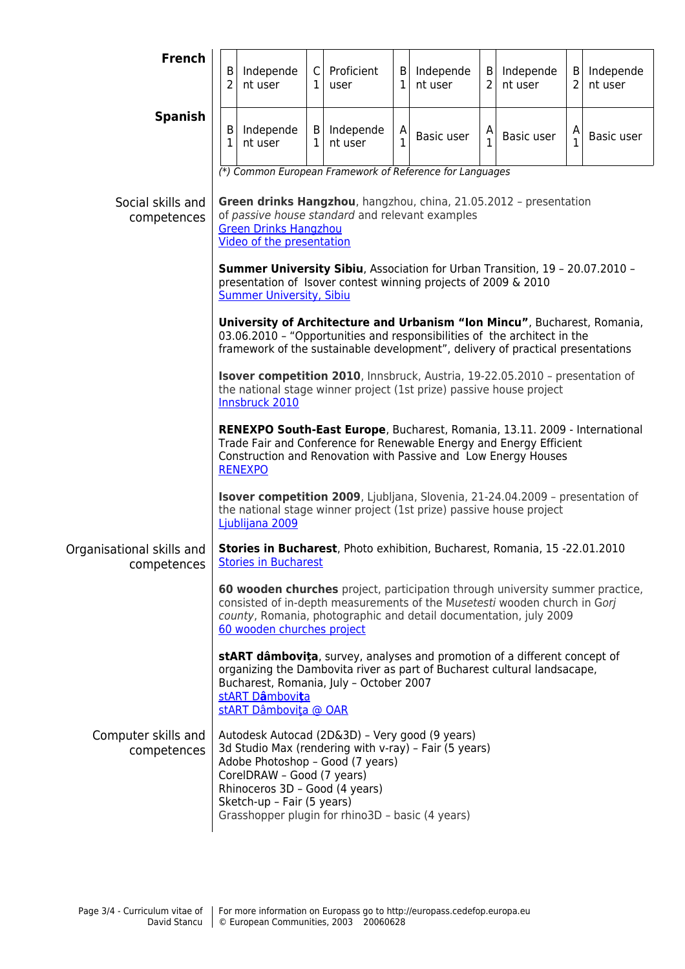| <b>French</b>                            | В<br>$\overline{2}$                                                                                                                                                                                                                    | Independe<br>nt user                                                                       | C<br>$\mathbf{1}$            | Proficient<br>user                                                                                                                                                                                                              | B<br>$\mathbf{1}$ | Independe<br>nt user | $\vert$ B<br>$\overline{2}$ | Independe<br>nt user | B<br>$\overline{2}$ | Independe<br>nt user |
|------------------------------------------|----------------------------------------------------------------------------------------------------------------------------------------------------------------------------------------------------------------------------------------|--------------------------------------------------------------------------------------------|------------------------------|---------------------------------------------------------------------------------------------------------------------------------------------------------------------------------------------------------------------------------|-------------------|----------------------|-----------------------------|----------------------|---------------------|----------------------|
| <b>Spanish</b>                           | В<br>1                                                                                                                                                                                                                                 | Independe<br>nt user                                                                       | $\mathsf{B}$<br>$\mathbf{1}$ | Independe<br>nt user                                                                                                                                                                                                            | A<br>$\mathbf{1}$ | Basic user           | $\mathbf{A}$ <sub>1</sub>   | Basic user           | $\mathsf{A}_1$      | Basic user           |
|                                          |                                                                                                                                                                                                                                        |                                                                                            |                              | (*) Common European Framework of Reference for Languages                                                                                                                                                                        |                   |                      |                             |                      |                     |                      |
| Social skills and<br>competences         | Green drinks Hangzhou, hangzhou, china, 21.05.2012 - presentation<br>of passive house standard and relevant examples<br><b>Green Drinks Hangzhou</b><br>Video of the presentation                                                      |                                                                                            |                              |                                                                                                                                                                                                                                 |                   |                      |                             |                      |                     |                      |
|                                          | Summer University Sibiu, Association for Urban Transition, 19 - 20.07.2010 -<br>presentation of Isover contest winning projects of 2009 & 2010<br><b>Summer University, Sibiu</b>                                                      |                                                                                            |                              |                                                                                                                                                                                                                                 |                   |                      |                             |                      |                     |                      |
|                                          | University of Architecture and Urbanism "Ion Mincu", Bucharest, Romania,<br>03.06.2010 - "Opportunities and responsibilities of the architect in the<br>framework of the sustainable development", delivery of practical presentations |                                                                                            |                              |                                                                                                                                                                                                                                 |                   |                      |                             |                      |                     |                      |
|                                          | Isover competition 2010, Innsbruck, Austria, 19-22.05.2010 - presentation of<br>the national stage winner project (1st prize) passive house project<br><b>Innsbruck 2010</b>                                                           |                                                                                            |                              |                                                                                                                                                                                                                                 |                   |                      |                             |                      |                     |                      |
|                                          | RENEXPO South-East Europe, Bucharest, Romania, 13.11. 2009 - International<br>Trade Fair and Conference for Renewable Energy and Energy Efficient<br>Construction and Renovation with Passive and Low Energy Houses<br><b>RENEXPO</b>  |                                                                                            |                              |                                                                                                                                                                                                                                 |                   |                      |                             |                      |                     |                      |
|                                          | <b>Isover competition 2009</b> , Ljubljana, Slovenia, 21-24.04.2009 - presentation of<br>the national stage winner project (1st prize) passive house project<br>Ljublijana 2009                                                        |                                                                                            |                              |                                                                                                                                                                                                                                 |                   |                      |                             |                      |                     |                      |
| Organisational skills and<br>competences | Stories in Bucharest, Photo exhibition, Bucharest, Romania, 15 -22.01.2010<br><u>Stories in Bucharest</u>                                                                                                                              |                                                                                            |                              |                                                                                                                                                                                                                                 |                   |                      |                             |                      |                     |                      |
|                                          |                                                                                                                                                                                                                                        | 60 wooden churches project                                                                 |                              | 60 wooden churches project, participation through university summer practice,<br>consisted of in-depth measurements of the Musetesti wooden church in Gorj<br>county, Romania, photographic and detail documentation, july 2009 |                   |                      |                             |                      |                     |                      |
|                                          |                                                                                                                                                                                                                                        | stART Dâmbovita<br>stART Dâmbovita @ OAR                                                   |                              | stART dâmbovița, survey, analyses and promotion of a different concept of<br>organizing the Dambovita river as part of Bucharest cultural landsacape,<br>Bucharest, Romania, July - October 2007                                |                   |                      |                             |                      |                     |                      |
| Computer skills and<br>competences       |                                                                                                                                                                                                                                        | CorelDRAW - Good (7 years)<br>Rhinoceros 3D - Good (4 years)<br>Sketch-up - Fair (5 years) |                              | Autodesk Autocad (2D&3D) - Very good (9 years)<br>3d Studio Max (rendering with v-ray) - Fair (5 years)<br>Adobe Photoshop - Good (7 years)<br>Grasshopper plugin for rhino3D - basic (4 years)                                 |                   |                      |                             |                      |                     |                      |
|                                          |                                                                                                                                                                                                                                        |                                                                                            |                              |                                                                                                                                                                                                                                 |                   |                      |                             |                      |                     |                      |